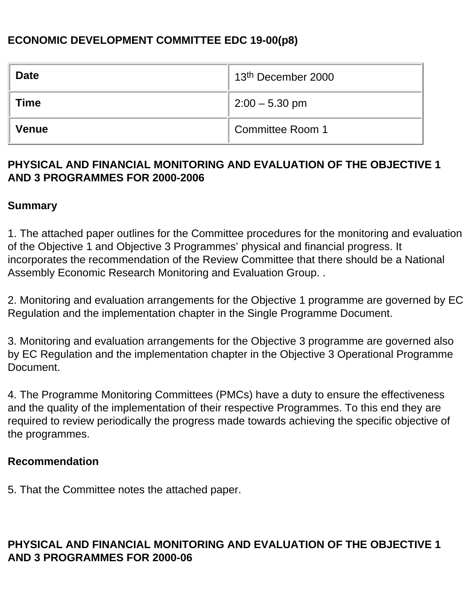# **ECONOMIC DEVELOPMENT COMMITTEE EDC 19-00(p8)**

| <b>Date</b>  | 13 <sup>th</sup> December 2000 |
|--------------|--------------------------------|
| Time         | $2:00 - 5.30$ pm               |
| <b>Venue</b> | Committee Room 1               |

### **PHYSICAL AND FINANCIAL MONITORING AND EVALUATION OF THE OBJECTIVE 1 AND 3 PROGRAMMES FOR 2000-2006**

#### **Summary**

1. The attached paper outlines for the Committee procedures for the monitoring and evaluation of the Objective 1 and Objective 3 Programmes' physical and financial progress. It incorporates the recommendation of the Review Committee that there should be a National Assembly Economic Research Monitoring and Evaluation Group. .

2. Monitoring and evaluation arrangements for the Objective 1 programme are governed by EC Regulation and the implementation chapter in the Single Programme Document.

3. Monitoring and evaluation arrangements for the Objective 3 programme are governed also by EC Regulation and the implementation chapter in the Objective 3 Operational Programme Document.

4. The Programme Monitoring Committees (PMCs) have a duty to ensure the effectiveness and the quality of the implementation of their respective Programmes. To this end they are required to review periodically the progress made towards achieving the specific objective of the programmes.

#### **Recommendation**

5. That the Committee notes the attached paper.

# **PHYSICAL AND FINANCIAL MONITORING AND EVALUATION OF THE OBJECTIVE 1 AND 3 PROGRAMMES FOR 2000-06**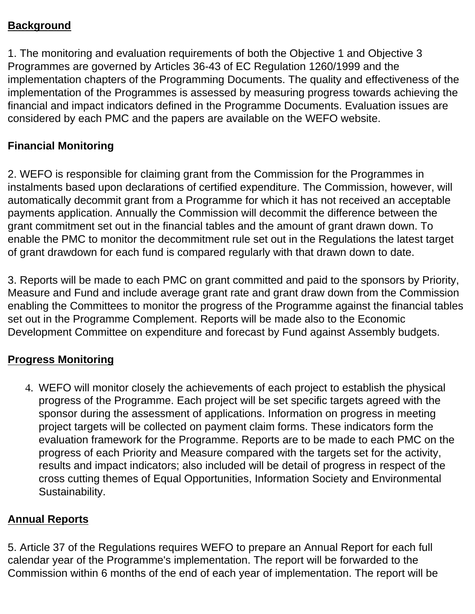# **Background**

1. The monitoring and evaluation requirements of both the Objective 1 and Objective 3 Programmes are governed by Articles 36-43 of EC Regulation 1260/1999 and the implementation chapters of the Programming Documents. The quality and effectiveness of the implementation of the Programmes is assessed by measuring progress towards achieving the financial and impact indicators defined in the Programme Documents. Evaluation issues are considered by each PMC and the papers are available on the WEFO website.

#### **Financial Monitoring**

2. WEFO is responsible for claiming grant from the Commission for the Programmes in instalments based upon declarations of certified expenditure. The Commission, however, will automatically decommit grant from a Programme for which it has not received an acceptable payments application. Annually the Commission will decommit the difference between the grant commitment set out in the financial tables and the amount of grant drawn down. To enable the PMC to monitor the decommitment rule set out in the Regulations the latest target of grant drawdown for each fund is compared regularly with that drawn down to date.

3. Reports will be made to each PMC on grant committed and paid to the sponsors by Priority, Measure and Fund and include average grant rate and grant draw down from the Commission enabling the Committees to monitor the progress of the Programme against the financial tables set out in the Programme Complement. Reports will be made also to the Economic Development Committee on expenditure and forecast by Fund against Assembly budgets.

## **Progress Monitoring**

4. WEFO will monitor closely the achievements of each project to establish the physical progress of the Programme. Each project will be set specific targets agreed with the sponsor during the assessment of applications. Information on progress in meeting project targets will be collected on payment claim forms. These indicators form the evaluation framework for the Programme. Reports are to be made to each PMC on the progress of each Priority and Measure compared with the targets set for the activity, results and impact indicators; also included will be detail of progress in respect of the cross cutting themes of Equal Opportunities, Information Society and Environmental Sustainability.

## **Annual Reports**

5. Article 37 of the Regulations requires WEFO to prepare an Annual Report for each full calendar year of the Programme's implementation. The report will be forwarded to the Commission within 6 months of the end of each year of implementation. The report will be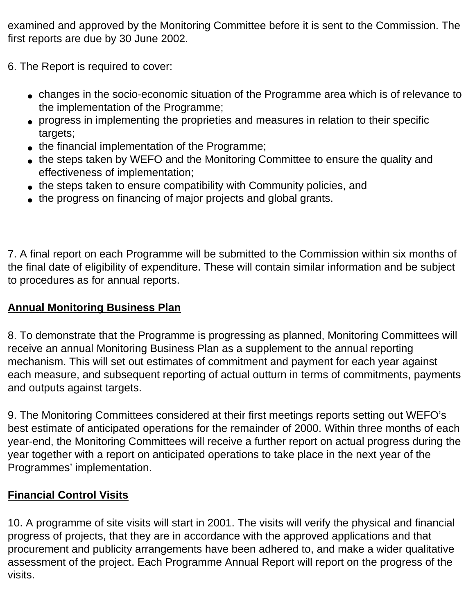examined and approved by the Monitoring Committee before it is sent to the Commission. The first reports are due by 30 June 2002.

- 6. The Report is required to cover:
	- changes in the socio-economic situation of the Programme area which is of relevance to the implementation of the Programme;
	- progress in implementing the proprieties and measures in relation to their specific targets;
	- the financial implementation of the Programme;
	- the steps taken by WEFO and the Monitoring Committee to ensure the quality and effectiveness of implementation;
	- the steps taken to ensure compatibility with Community policies, and
	- the progress on financing of major projects and global grants.

7. A final report on each Programme will be submitted to the Commission within six months of the final date of eligibility of expenditure. These will contain similar information and be subject to procedures as for annual reports.

# **Annual Monitoring Business Plan**

8. To demonstrate that the Programme is progressing as planned, Monitoring Committees will receive an annual Monitoring Business Plan as a supplement to the annual reporting mechanism. This will set out estimates of commitment and payment for each year against each measure, and subsequent reporting of actual outturn in terms of commitments, payments and outputs against targets.

9. The Monitoring Committees considered at their first meetings reports setting out WEFO's best estimate of anticipated operations for the remainder of 2000. Within three months of each year-end, the Monitoring Committees will receive a further report on actual progress during the year together with a report on anticipated operations to take place in the next year of the Programmes' implementation.

# **Financial Control Visits**

10. A programme of site visits will start in 2001. The visits will verify the physical and financial progress of projects, that they are in accordance with the approved applications and that procurement and publicity arrangements have been adhered to, and make a wider qualitative assessment of the project. Each Programme Annual Report will report on the progress of the visits.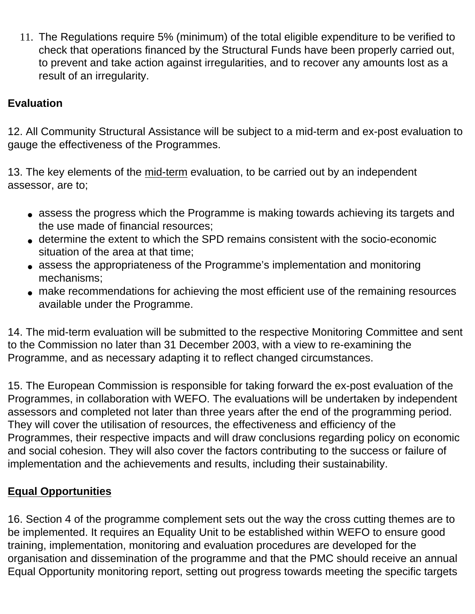11. The Regulations require 5% (minimum) of the total eligible expenditure to be verified to check that operations financed by the Structural Funds have been properly carried out, to prevent and take action against irregularities, and to recover any amounts lost as a result of an irregularity.

# **Evaluation**

12. All Community Structural Assistance will be subject to a mid-term and ex-post evaluation to gauge the effectiveness of the Programmes.

13. The key elements of the mid-term evaluation, to be carried out by an independent assessor, are to;

- assess the progress which the Programme is making towards achieving its targets and the use made of financial resources;
- determine the extent to which the SPD remains consistent with the socio-economic situation of the area at that time;
- assess the appropriateness of the Programme's implementation and monitoring mechanisms;
- make recommendations for achieving the most efficient use of the remaining resources available under the Programme.

14. The mid-term evaluation will be submitted to the respective Monitoring Committee and sent to the Commission no later than 31 December 2003, with a view to re-examining the Programme, and as necessary adapting it to reflect changed circumstances.

15. The European Commission is responsible for taking forward the ex-post evaluation of the Programmes, in collaboration with WEFO. The evaluations will be undertaken by independent assessors and completed not later than three years after the end of the programming period. They will cover the utilisation of resources, the effectiveness and efficiency of the Programmes, their respective impacts and will draw conclusions regarding policy on economic and social cohesion. They will also cover the factors contributing to the success or failure of implementation and the achievements and results, including their sustainability.

# **Equal Opportunities**

16. Section 4 of the programme complement sets out the way the cross cutting themes are to be implemented. It requires an Equality Unit to be established within WEFO to ensure good training, implementation, monitoring and evaluation procedures are developed for the organisation and dissemination of the programme and that the PMC should receive an annual Equal Opportunity monitoring report, setting out progress towards meeting the specific targets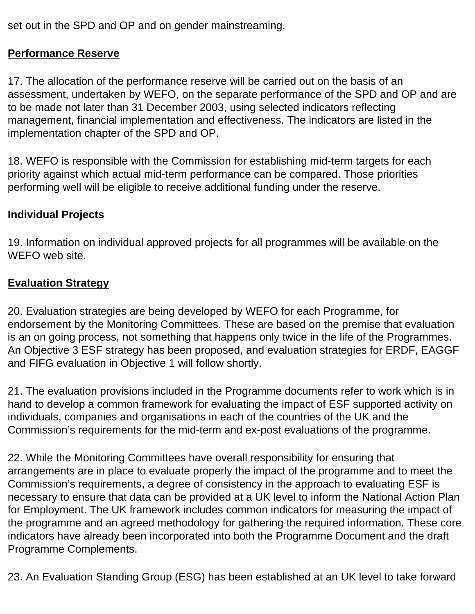set out in the SPD and OP and on gender mainstreaming.

# **Performance Reserve**

17. The allocation of the performance reserve will be carried out on the basis of an assessment, undertaken by WEFO, on the separate performance of the SPD and OP and are to be made not later than 31 December 2003, using selected indicators reflecting management, financial implementation and effectiveness. The indicators are listed in the implementation chapter of the SPD and OP.

18. WEFO is responsible with the Commission for establishing mid-term targets for each priority against which actual mid-term performance can be compared. Those priorities performing well will be eligible to receive additional funding under the reserve.

# **Individual Projects**

19. Information on individual approved projects for all programmes will be available on the WEFO web site.

## **Evaluation Strategy**

20. Evaluation strategies are being developed by WEFO for each Programme, for endorsement by the Monitoring Committees. These are based on the premise that evaluation is an on going process, not something that happens only twice in the life of the Programmes. An Objective 3 ESF strategy has been proposed, and evaluation strategies for ERDF, EAGGF and FIFG evaluation in Objective 1 will follow shortly.

21. The evaluation provisions included in the Programme documents refer to work which is in hand to develop a common framework for evaluating the impact of ESF supported activity on individuals, companies and organisations in each of the countries of the UK and the Commission's requirements for the mid-term and ex-post evaluations of the programme.

22. While the Monitoring Committees have overall responsibility for ensuring that arrangements are in place to evaluate properly the impact of the programme and to meet the Commission's requirements, a degree of consistency in the approach to evaluating ESF is necessary to ensure that data can be provided at a UK level to inform the National Action Plan for Employment. The UK framework includes common indicators for measuring the impact of the programme and an agreed methodology for gathering the required information. These core indicators have already been incorporated into both the Programme Document and the draft Programme Complements.

23. An Evaluation Standing Group (ESG) has been established at an UK level to take forward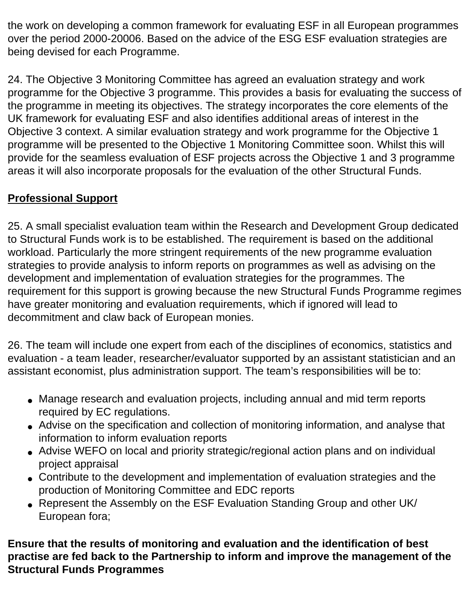the work on developing a common framework for evaluating ESF in all European programmes over the period 2000-20006. Based on the advice of the ESG ESF evaluation strategies are being devised for each Programme.

24. The Objective 3 Monitoring Committee has agreed an evaluation strategy and work programme for the Objective 3 programme. This provides a basis for evaluating the success of the programme in meeting its objectives. The strategy incorporates the core elements of the UK framework for evaluating ESF and also identifies additional areas of interest in the Objective 3 context. A similar evaluation strategy and work programme for the Objective 1 programme will be presented to the Objective 1 Monitoring Committee soon. Whilst this will provide for the seamless evaluation of ESF projects across the Objective 1 and 3 programme areas it will also incorporate proposals for the evaluation of the other Structural Funds.

# **Professional Support**

25. A small specialist evaluation team within the Research and Development Group dedicated to Structural Funds work is to be established. The requirement is based on the additional workload. Particularly the more stringent requirements of the new programme evaluation strategies to provide analysis to inform reports on programmes as well as advising on the development and implementation of evaluation strategies for the programmes. The requirement for this support is growing because the new Structural Funds Programme regimes have greater monitoring and evaluation requirements, which if ignored will lead to decommitment and claw back of European monies.

26. The team will include one expert from each of the disciplines of economics, statistics and evaluation - a team leader, researcher/evaluator supported by an assistant statistician and an assistant economist, plus administration support. The team's responsibilities will be to:

- Manage research and evaluation projects, including annual and mid term reports required by EC regulations.
- Advise on the specification and collection of monitoring information, and analyse that information to inform evaluation reports
- Advise WEFO on local and priority strategic/regional action plans and on individual project appraisal
- Contribute to the development and implementation of evaluation strategies and the production of Monitoring Committee and EDC reports
- Represent the Assembly on the ESF Evaluation Standing Group and other UK/ European fora;

**Ensure that the results of monitoring and evaluation and the identification of best practise are fed back to the Partnership to inform and improve the management of the Structural Funds Programmes**